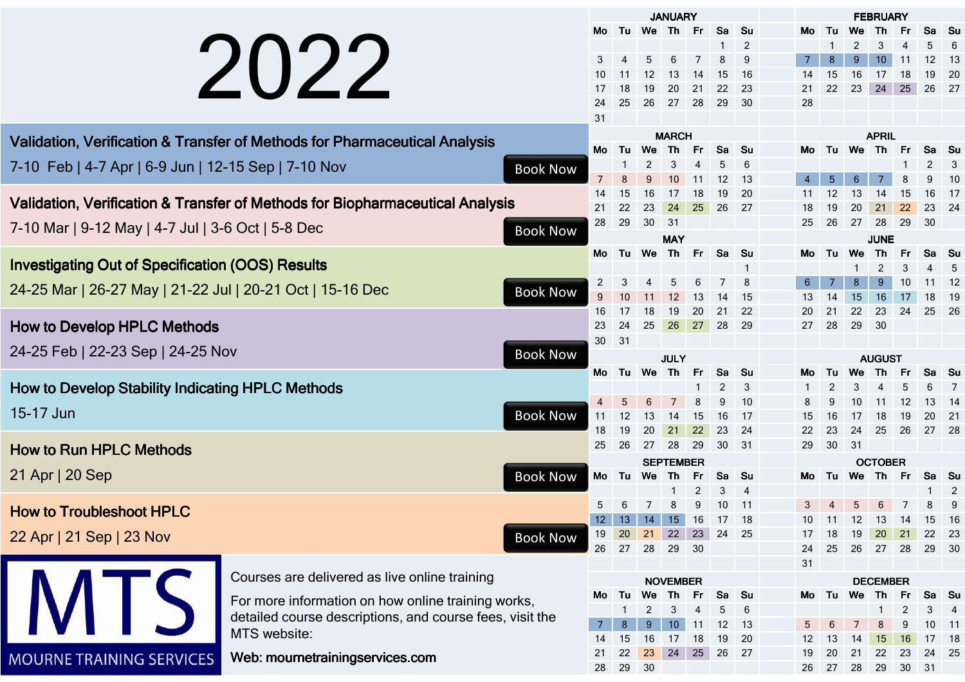|                                                                               |                                                                            |                  |                                                   |                | <b>JANUARY</b>         |                 |                   |          |                 |                | <b>FEBRUARY</b> |           |                      |                 |              |                 |                |  |
|-------------------------------------------------------------------------------|----------------------------------------------------------------------------|------------------|---------------------------------------------------|----------------|------------------------|-----------------|-------------------|----------|-----------------|----------------|-----------------|-----------|----------------------|-----------------|--------------|-----------------|----------------|--|
|                                                                               |                                                                            |                  | Mo.                                               |                | Tu We Th Fr            |                 |                   | Sa       | Su              |                | Mo              |           |                      |                 |              | Sa              | .Su            |  |
|                                                                               |                                                                            |                  |                                                   |                |                        |                 |                   |          | 2               |                |                 |           |                      |                 |              |                 |                |  |
| 2022                                                                          |                                                                            | 3                |                                                   | 5              | 6                      |                 | 8                 | 9        |                 | $\overline{7}$ | 8               | 9         | 10                   | 11              | 12           | 13              |                |  |
|                                                                               |                                                                            |                  | 10                                                | 11             | 12                     | 13              |                   | 15       | 16              |                | 14              | 15        | 16                   | 17              | 18           | 19              | 20             |  |
|                                                                               |                                                                            |                  | 17                                                | 18             | 19                     | 20              | 21                | 22       | 23              |                | 21              | 22        | 23                   | 24              | 25           | 26              | 27             |  |
|                                                                               |                                                                            |                  | 24                                                | 25             | 26                     | 27              | 28                | 29       | 30              |                | 28              |           |                      |                 |              |                 |                |  |
|                                                                               |                                                                            |                  | 31                                                |                |                        |                 |                   |          |                 |                |                 |           |                      |                 |              |                 |                |  |
|                                                                               | Validation, Verification & Transfer of Methods for Pharmaceutical Analysis |                  |                                                   |                | <b>MARCH</b>           |                 |                   |          |                 |                |                 |           | <b>APRIL</b>         |                 |              |                 |                |  |
|                                                                               |                                                                            |                  | Mo                                                | Tu             | <b>We</b>              | Th Fr           |                   | Sa Su    |                 |                | Mo              |           |                      | Tu We Th Fr     |              | Sa Su           |                |  |
| 7-10 Feb   4-7 Apr   6-9 Jun   12-15 Sep   7-10 Nov<br><b>Book Now</b>        |                                                                            |                  |                                                   |                |                        |                 | 5                 | 6        |                 |                |                 |           |                      |                 | $\mathbf{2}$ | 3               |                |  |
|                                                                               |                                                                            | $\overline{7}$   | 8                                                 |                | 10                     |                 | $12 \overline{ }$ | 13       |                 |                | 5               | 6         | 7                    | 8               | 9            | -10             |                |  |
|                                                                               |                                                                            | 14               | 15                                                | 16             | 17                     | 18              | 19                | 20       |                 | 11             | 12              | 13        | 14                   | 15              | 16           | -17             |                |  |
| Validation, Verification & Transfer of Methods for Biopharmaceutical Analysis |                                                                            | 21               | 22                                                | 23             | 24                     | 25              | 26                | 27       |                 | 18             | 19              | 20        | 21                   | 22              | 23           | 24              |                |  |
| 7-10 Mar   9-12 May   4-7 Jul   3-6 Oct   5-8 Dec<br><b>Book Now</b>          |                                                                            | 28               | 29                                                | 30             | 31                     |                 |                   |          |                 | 25             | 26              | 27        | 28                   | 29              | 30           |                 |                |  |
|                                                                               |                                                                            |                  |                                                   |                |                        | <b>MAY</b>      |                   |          |                 |                |                 |           |                      | <b>JUNE</b>     |              |                 |                |  |
|                                                                               |                                                                            |                  | Mo.                                               | Tu             | We                     | Th              | - Fr              | Sa Su    |                 |                | Mo              | Tu        | <b>We</b>            | Th              | Fr.          | Sa Su           |                |  |
| <b>Investigating Out of Specification (OOS) Results</b>                       |                                                                            |                  |                                                   |                |                        |                 |                   |          |                 |                |                 |           | 2                    | 3               | 4            | 5               |                |  |
| 24-25 Mar   26-27 May   21-22 Jul   20-21 Oct   15-16 Dec<br><b>Book Now</b>  |                                                                            | $\overline{2}$   |                                                   |                |                        |                 |                   | 8        |                 | 6              | 7               | 8         | 9                    | 10              | 11           | 12              |                |  |
|                                                                               |                                                                            | $\boldsymbol{9}$ | 10                                                | 11             | 12                     | 13              | 14                | -15      |                 | 13             | 14              | 15        | 16                   | 17              | 18           | 19              |                |  |
|                                                                               |                                                                            | 16               | -17                                               | 18             | 19                     | 20              | 21                | 22       |                 | 20             | 21              | 22        | 23                   | 24              | 25           | 26              |                |  |
| <b>How to Develop HPLC Methods</b>                                            |                                                                            | 23               | 24                                                | 25             | 26                     | 27              | 28 29             |          |                 | 27             | 28              | 29        | 30                   |                 |              |                 |                |  |
| 24-25 Feb   22-23 Sep   24-25 Nov<br><b>Book Now</b>                          |                                                                            | 30               | 31                                                |                |                        |                 |                   |          |                 |                |                 |           |                      |                 |              |                 |                |  |
|                                                                               |                                                                            |                  | <b>AUGUST</b><br><b>JULY</b><br>Tu We Th<br>Sa Su |                |                        |                 |                   |          |                 |                |                 |           |                      |                 |              |                 |                |  |
| <b>How to Develop Stability Indicating HPLC Methods</b>                       |                                                                            | Mo               |                                                   |                |                        | Fr              |                   |          |                 | Mo             | Tu              | <b>We</b> | <b>Th</b>            | Fr.             | Sa           | - Su            |                |  |
|                                                                               |                                                                            |                  |                                                   |                |                        |                 | 2                 | 3        |                 |                |                 |           |                      |                 |              |                 |                |  |
| 15-17 Jun<br><b>Book Now</b>                                                  |                                                                            | $\overline{4}$   | 12                                                | 13             | 14                     | 15              | 9<br>16           | 10<br>17 |                 | 15             | 16              | 10<br>17  | 11<br>18             | 12<br>19        | 13<br>20     | 14<br>21        |                |  |
|                                                                               |                                                                            | 11<br>18         | 19                                                | 20             | 21                     | 22              | 23                | - 24     |                 | 22             | 23              | 24        | 25                   | 26              | 27 28        |                 |                |  |
|                                                                               |                                                                            | 25               | 26                                                | 27             | 28                     | 29              | 30 31             |          |                 | 29             | 30 <sup>°</sup> | 31        |                      |                 |              |                 |                |  |
| <b>How to Run HPLC Methods</b>                                                |                                                                            |                  |                                                   |                |                        |                 |                   |          |                 |                |                 |           |                      |                 |              |                 |                |  |
| 21 Apr   20 Sep<br><b>Book Now</b>                                            |                                                                            | Mo               | Tu                                                | We             | <b>SEPTEMBER</b><br>Th | Fr              | Sa Su             |          |                 | Mo             | Tu              | We        | <b>OCTOBER</b><br>Th | Fr              | Sa Su        |                 |                |  |
|                                                                               |                                                                            |                  |                                                   |                |                        |                 | 2                 | 3        | $\overline{4}$  |                |                 |           |                      |                 |              |                 | $\overline{2}$ |  |
|                                                                               |                                                                            |                  |                                                   |                |                        |                 | 9                 | 10       | 11              |                |                 |           |                      |                 |              |                 | 9              |  |
| <b>How to Troubleshoot HPLC</b>                                               |                                                                            |                  | 12                                                | 13             | 14                     | 15              | -16               | - 17     | 18              |                |                 |           |                      | 10 11 12 13 14  |              | 15 16           |                |  |
| 22 Apr   21 Sep   23 Nov                                                      |                                                                            | <b>Book Now</b>  | 19                                                | 20             | 21                     | 22              | 23                | 24 25    |                 |                | 17              | 18        | 19                   | 20              | 21           | 22 23           |                |  |
|                                                                               |                                                                            |                  | 26                                                | 27             | 28                     | 29              | 30                |          |                 |                | 24              | 25        | 26                   | 27              | 28           | 29 30           |                |  |
|                                                                               |                                                                            |                  |                                                   |                |                        |                 |                   |          |                 |                | 31              |           |                      |                 |              |                 |                |  |
|                                                                               | Courses are delivered as live online training                              |                  |                                                   |                |                        | <b>NOVEMBER</b> |                   |          |                 |                |                 |           |                      | <b>DECEMBER</b> |              |                 |                |  |
|                                                                               |                                                                            |                  | Мо                                                | Tu             | We                     | - Th            | - Fr              | Sa Su    |                 |                | Mo Tu           |           | We                   | Th.             | Fr.          | Sa Su           |                |  |
|                                                                               | For more information on how online training works,                         |                  |                                                   |                |                        | 3               | 4                 | 5        | $6\phantom{1}6$ |                |                 |           |                      |                 | 2            | 3               | $\overline{4}$ |  |
| detailed course descriptions, and course fees, visit the                      |                                                                            |                  |                                                   | 8 <sup>°</sup> | 9                      | 10              | 11                | 12       | 13              |                | 5               | 6         |                      | 8               | 9            | 10 <sub>1</sub> | $-11$          |  |
| MTS website:                                                                  |                                                                            | 14               | 15                                                | 16             | 17                     | 18              | 19                | 20       |                 | 12             | 13              | 14        | 15                   | 16              | 17 18        |                 |                |  |
| <b>MOURNE TRAINING SERVICES</b>                                               | Web: mournetrainingservices.com                                            |                  | 21                                                | 22             | 23                     | 24              | 25                | 26 27    |                 |                | 19              | 20        | 21                   | 22              | 23           | 24              | 25             |  |
|                                                                               |                                                                            |                  | 28                                                | 29             | 30                     |                 |                   |          |                 |                | 26              | 27        | 28                   | 29              | 30 31        |                 |                |  |
|                                                                               |                                                                            |                  |                                                   |                |                        |                 |                   |          |                 |                |                 |           |                      |                 |              |                 |                |  |